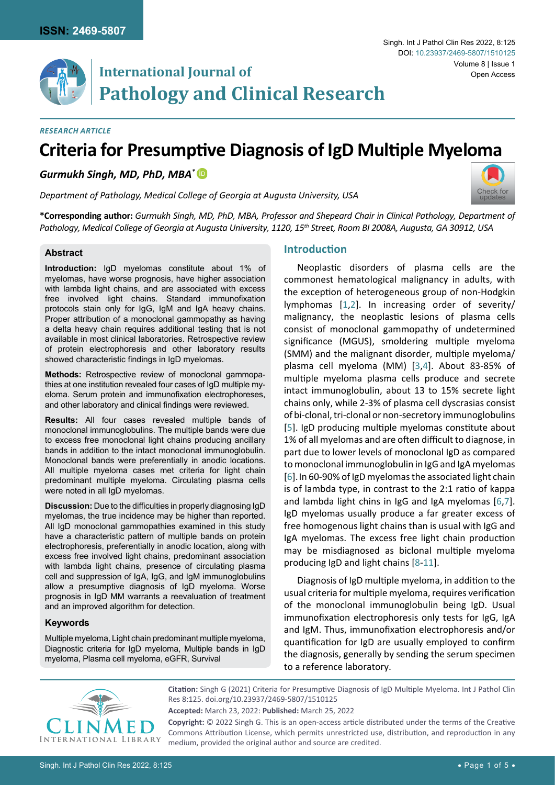

# **International Journal of Pathology and Clinical Research**

### *Research Article*

# **Criteria for Presumptive Diagnosis of IgD Multiple Myeloma**

# *Gurmukh Singh, MD, PhD, MBA\** [iD](https://orcid.org/0000-0003-0621-7254)

*Department of Pathology, Medical College of Georgia at Augusta University, USA*



**\*Corresponding author:** *Gurmukh Singh, MD, PhD, MBA, Professor and Shepeard Chair in Clinical Pathology, Department of Pathology, Medical College of Georgia at Augusta University, 1120, 15th Street, Room BI 2008A, Augusta, GA 30912, USA*

### **Abstract**

**Introduction:** IgD myelomas constitute about 1% of myelomas, have worse prognosis, have higher association with lambda light chains, and are associated with excess free involved light chains. Standard immunofixation protocols stain only for IgG, IgM and IgA heavy chains. Proper attribution of a monoclonal gammopathy as having a delta heavy chain requires additional testing that is not available in most clinical laboratories. Retrospective review of protein electrophoresis and other laboratory results showed characteristic findings in IgD myelomas.

**Methods:** Retrospective review of monoclonal gammopathies at one institution revealed four cases of IgD multiple myeloma. Serum protein and immunofixation electrophoreses, and other laboratory and clinical findings were reviewed.

**Results:** All four cases revealed multiple bands of monoclonal immunoglobulins. The multiple bands were due to excess free monoclonal light chains producing ancillary bands in addition to the intact monoclonal immunoglobulin. Monoclonal bands were preferentially in anodic locations. All multiple myeloma cases met criteria for light chain predominant multiple myeloma. Circulating plasma cells were noted in all IgD myelomas.

**Discussion:** Due to the difficulties in properly diagnosing IgD myelomas, the true incidence may be higher than reported. All IgD monoclonal gammopathies examined in this study have a characteristic pattern of multiple bands on protein electrophoresis, preferentially in anodic location, along with excess free involved light chains, predominant association with lambda light chains, presence of circulating plasma cell and suppression of IgA, IgG, and IgM immunoglobulins allow a presumptive diagnosis of IgD myeloma. Worse prognosis in IgD MM warrants a reevaluation of treatment and an improved algorithm for detection.

## **Keywords**

Multiple myeloma, Light chain predominant multiple myeloma, Diagnostic criteria for IgD myeloma, Multiple bands in IgD myeloma, Plasma cell myeloma, eGFR, Survival

# **Introduction**

Neoplastic disorders of plasma cells are the commonest hematological malignancy in adults, with the exception of heterogeneous group of non-Hodgkin lymphomas [[1](#page-4-0),[2](#page-4-1)]. In increasing order of severity/ malignancy, the neoplastic lesions of plasma cells consist of monoclonal gammopathy of undetermined significance (MGUS), smoldering multiple myeloma (SMM) and the malignant disorder, multiple myeloma/ plasma cell myeloma (MM) [\[3,](#page-4-2)[4](#page-4-3)]. About 83-85% of multiple myeloma plasma cells produce and secrete intact immunoglobulin, about 13 to 15% secrete light chains only, while 2-3% of plasma cell dyscrasias consist of bi-clonal, tri-clonal or non-secretory immunoglobulins [[5](#page-4-4)]. IgD producing multiple myelomas constitute about 1% of all myelomas and are often difficult to diagnose, in part due to lower levels of monoclonal IgD as compared to monoclonal immunoglobulin in IgG and IgA myelomas [\[6\]](#page-4-5).In 60-90% of IgD myelomas the associated light chain is of lambda type, in contrast to the 2:1 ratio of kappa and lambda light chins in IgG and IgA myelomas [[6](#page-4-5)[,7\]](#page-4-6). IgD myelomas usually produce a far greater excess of free homogenous light chains than is usual with IgG and IgA myelomas. The excess free light chain production may be misdiagnosed as biclonal multiple myeloma producing IgD and light chains [[8](#page-4-7)-[11](#page-4-8)].

Diagnosis of IgD multiple myeloma, in addition to the usual criteria for multiple myeloma, requires verification of the monoclonal immunoglobulin being IgD. Usual immunofixation electrophoresis only tests for IgG, IgA and IgM. Thus, immunofixation electrophoresis and/or quantification for IgD are usually employed to confirm the diagnosis, generally by sending the serum specimen to a reference laboratory.



**Citation:** Singh G (2021) Criteria for Presumptive Diagnosis of IgD Multiple Myeloma. Int J Pathol Clin Res 8:125. [doi.org/10.23937/2469-5807/1510125](https://doi.org/10.23937/2469-5807/1510125)

**Copyright:** © 2022 Singh G. This is an open-access article distributed under the terms of the Creative Commons Attribution License, which permits unrestricted use, distribution, and reproduction in any medium, provided the original author and source are credited.

**Accepted:** March 23, 2022: **Published:** March 25, 2022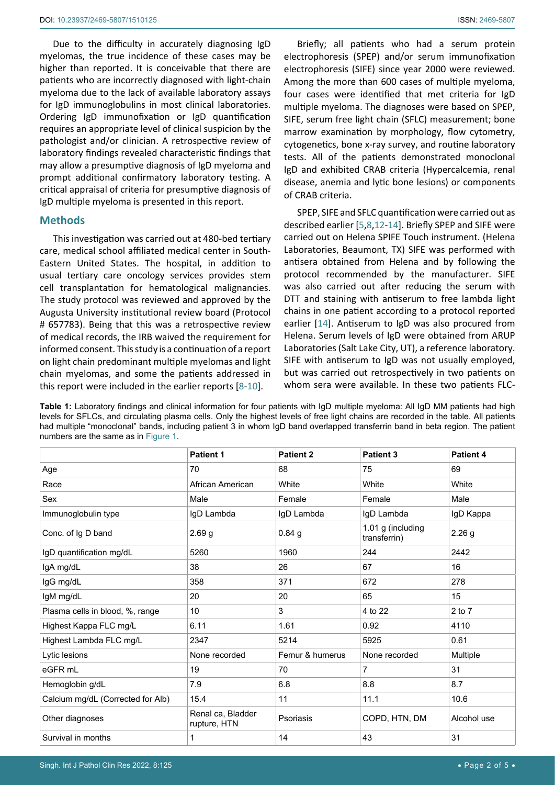Due to the difficulty in accurately diagnosing IgD myelomas, the true incidence of these cases may be higher than reported. It is conceivable that there are patients who are incorrectly diagnosed with light-chain myeloma due to the lack of available laboratory assays for IgD immunoglobulins in most clinical laboratories. Ordering IgD immunofixation or IgD quantification requires an appropriate level of clinical suspicion by the pathologist and/or clinician. A retrospective review of laboratory findings revealed characteristic findings that may allow a presumptive diagnosis of IgD myeloma and prompt additional confirmatory laboratory testing. A critical appraisal of criteria for presumptive diagnosis of IgD multiple myeloma is presented in this report.

#### **Methods**

This investigation was carried out at 480-bed tertiary care, medical school affiliated medical center in South-Eastern United States. The hospital, in addition to usual tertiary care oncology services provides stem cell transplantation for hematological malignancies. The study protocol was reviewed and approved by the Augusta University institutional review board (Protocol # 657783). Being that this was a retrospective review of medical records, the IRB waived the requirement for informed consent. This study is a continuation of a report on light chain predominant multiple myelomas and light chain myelomas, and some the patients addressed in this report were included in the earlier reports [[8](#page-4-7)-[10](#page-4-11)].

Briefly; all patients who had a serum protein electrophoresis (SPEP) and/or serum immunofixation electrophoresis (SIFE) since year 2000 were reviewed. Among the more than 600 cases of multiple myeloma, four cases were identified that met criteria for IgD multiple myeloma. The diagnoses were based on SPEP, SIFE, serum free light chain (SFLC) measurement; bone marrow examination by morphology, flow cytometry, cytogenetics, bone x-ray survey, and routine laboratory tests. All of the patients demonstrated monoclonal IgD and exhibited CRAB criteria (Hypercalcemia, renal disease, anemia and lytic bone lesions) or components of CRAB criteria.

SPEP, SIFE and SFLC quantification were carried out as described earlier [[5](#page-4-4),[8](#page-4-7),[12](#page-4-9)[-14](#page-4-10)]. Briefly SPEP and SIFE were carried out on Helena SPIFE Touch instrument. (Helena Laboratories, Beaumont, TX) SIFE was performed with antisera obtained from Helena and by following the protocol recommended by the manufacturer. SIFE was also carried out after reducing the serum with DTT and staining with antiserum to free lambda light chains in one patient according to a protocol reported earlier [[14\]](#page-4-10). Antiserum to IgD was also procured from Helena. Serum levels of IgD were obtained from ARUP Laboratories (Salt Lake City, UT), a reference laboratory. SIFE with antiserum to IgD was not usually employed, but was carried out retrospectively in two patients on whom sera were available. In these two patients FLC-

<span id="page-1-0"></span>**Table 1:** Laboratory findings and clinical information for four patients with IgD multiple myeloma: All IgD MM patients had high levels for SFLCs, and circulating plasma cells. Only the highest levels of free light chains are recorded in the table. All patients had multiple "monoclonal" bands, including patient 3 in whom IgD band overlapped transferrin band in beta region. The patient numbers are the same as in [Figure 1.](#page-2-0)

|                                   | <b>Patient 1</b>                  | <b>Patient 2</b> | <b>Patient 3</b>                  | Patient 4         |
|-----------------------------------|-----------------------------------|------------------|-----------------------------------|-------------------|
| Age                               | 70                                | 68               | 75                                | 69                |
| Race                              | African American                  | White            | White                             | White             |
| Sex                               | Male                              | Female           | Female                            | Male              |
| Immunoglobulin type               | IgD Lambda                        | IgD Lambda       | IgD Lambda                        | IgD Kappa         |
| Conc. of Ig D band                | 2.69 <sub>g</sub>                 | $0.84$ g         | 1.01 g (including<br>transferrin) | 2.26 <sub>g</sub> |
| IgD quantification mg/dL          | 5260                              | 1960             | 244                               | 2442              |
| IgA mg/dL                         | 38                                | 26               | 67                                | 16                |
| IgG mg/dL                         | 358                               | 371              | 672                               | 278               |
| IgM mg/dL                         | 20                                | 20               | 65                                | 15                |
| Plasma cells in blood, %, range   | 10                                | 3                | 4 to 22                           | $2$ to $7$        |
| Highest Kappa FLC mg/L            | 6.11                              | 1.61             | 0.92                              | 4110              |
| Highest Lambda FLC mg/L           | 2347                              | 5214             | 5925                              | 0.61              |
| Lytic lesions                     | None recorded                     | Femur & humerus  | None recorded                     | Multiple          |
| eGFR <sub>mL</sub>                | 19                                | 70               | $\overline{7}$                    | 31                |
| Hemoglobin g/dL                   | 7.9                               | 6.8              | 8.8                               | 8.7               |
| Calcium mg/dL (Corrected for Alb) | 15.4                              | 11               | 11.1                              | 10.6              |
| Other diagnoses                   | Renal ca, Bladder<br>rupture, HTN | Psoriasis        | COPD, HTN, DM                     | Alcohol use       |
| Survival in months                | 1                                 | 14               | 43                                | 31                |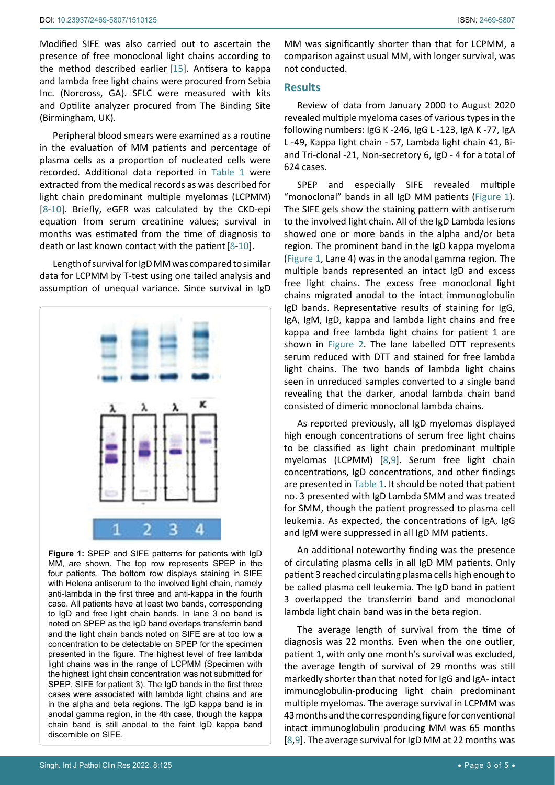Modified SIFE was also carried out to ascertain the presence of free monoclonal light chains according to the method described earlier [[15](#page-4-13)]. Antisera to kappa and lambda free light chains were procured from Sebia Inc. (Norcross, GA). SFLC were measured with kits and Optilite analyzer procured from The Binding Site (Birmingham, UK).

Peripheral blood smears were examined as a routine in the evaluation of MM patients and percentage of plasma cells as a proportion of nucleated cells were recorded. Additional data reported in [Table 1](#page-1-0) were extracted from the medical records as was described for light chain predominant multiple myelomas (LCPMM) [[8](#page-4-7)-[10](#page-4-11)]. Briefly, eGFR was calculated by the CKD-epi equation from serum creatinine values; survival in months was estimated from the time of diagnosis to death or last known contact with the patient[[8](#page-4-7)-[10](#page-4-11)].

Length of survival for IgD MM was compared to similar data for LCPMM by T-test using one tailed analysis and assumption of unequal variance. Since survival in IgD

<span id="page-2-0"></span>

**Figure 1:** SPEP and SIFE patterns for patients with IgD MM, are shown. The top row represents SPEP in the four patients. The bottom row displays staining in SIFE with Helena antiserum to the involved light chain, namely anti-lambda in the first three and anti-kappa in the fourth case. All patients have at least two bands, corresponding to IgD and free light chain bands. In lane 3 no band is noted on SPEP as the IgD band overlaps transferrin band and the light chain bands noted on SIFE are at too low a concentration to be detectable on SPEP for the specimen presented in the figure. The highest level of free lambda light chains was in the range of LCPMM (Specimen with the highest light chain concentration was not submitted for SPEP, SIFE for patient 3). The IgD bands in the first three cases were associated with lambda light chains and are in the alpha and beta regions. The IgD kappa band is in anodal gamma region, in the 4th case, though the kappa chain band is still anodal to the faint IgD kappa band discernible on SIFE.

MM was significantly shorter than that for LCPMM, a comparison against usual MM, with longer survival, was not conducted.

#### **Results**

Review of data from January 2000 to August 2020 revealed multiple myeloma cases of various types in the following numbers: IgG K -246, IgG L -123, IgA K -77, IgA L -49, Kappa light chain - 57, Lambda light chain 41, Biand Tri-clonal -21, Non-secretory 6, IgD - 4 for a total of 624 cases.

SPEP and especially SIFE revealed multiple "monoclonal" bands in all IgD MM patients ([Figure 1\)](#page-2-0). The SIFE gels show the staining pattern with antiserum to the involved light chain. All of the IgD Lambda lesions showed one or more bands in the alpha and/or beta region. The prominent band in the IgD kappa myeloma ([Figure 1](#page-2-0), Lane 4) was in the anodal gamma region. The multiple bands represented an intact IgD and excess free light chains. The excess free monoclonal light chains migrated anodal to the intact immunoglobulin IgD bands. Representative results of staining for IgG, IgA, IgM, IgD, kappa and lambda light chains and free kappa and free lambda light chains for patient 1 are shown in [Figure 2](#page-3-0). The lane labelled DTT represents serum reduced with DTT and stained for free lambda light chains. The two bands of lambda light chains seen in unreduced samples converted to a single band revealing that the darker, anodal lambda chain band consisted of dimeric monoclonal lambda chains.

As reported previously, all IgD myelomas displayed high enough concentrations of serum free light chains to be classified as light chain predominant multiple myelomas (LCPMM) [[8](#page-4-7)[,9](#page-4-12)]. Serum free light chain concentrations, IgD concentrations, and other findings are presented in [Table 1](#page-1-0). It should be noted that patient no. 3 presented with IgD Lambda SMM and was treated for SMM, though the patient progressed to plasma cell leukemia. As expected, the concentrations of IgA, IgG and IgM were suppressed in all IgD MM patients.

An additional noteworthy finding was the presence of circulating plasma cells in all IgD MM patients. Only patient 3 reached circulating plasma cells high enough to be called plasma cell leukemia. The IgD band in patient 3 overlapped the transferrin band and monoclonal lambda light chain band was in the beta region.

The average length of survival from the time of diagnosis was 22 months. Even when the one outlier, patient 1, with only one month's survival was excluded, the average length of survival of 29 months was still markedly shorter than that noted for IgG and IgA- intact immunoglobulin-producing light chain predominant multiple myelomas. The average survival in LCPMM was 43 months and the corresponding figure for conventional intact immunoglobulin producing MM was 65 months [[8](#page-4-7)[,9\]](#page-4-12). The average survival for IgD MM at 22 months was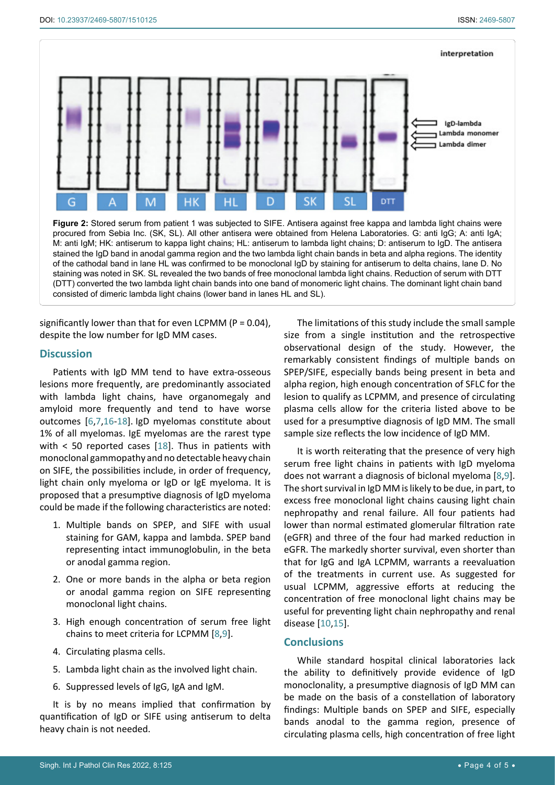<span id="page-3-0"></span>

significantly lower than that for even LCPMM ( $P = 0.04$ ), despite the low number for IgD MM cases.

consisted of dimeric lambda light chains (lower band in lanes HL and SL).

#### **Discussion**

Patients with IgD MM tend to have extra-osseous lesions more frequently, are predominantly associated with lambda light chains, have organomegaly and amyloid more frequently and tend to have worse outcomes [\[6](#page-4-5),[7](#page-4-6)[,16](#page-4-14)-[18](#page-4-15)]. IgD myelomas constitute about 1% of all myelomas. IgE myelomas are the rarest type with  $\lt$  50 reported cases [[18](#page-4-15)]. Thus in patients with monoclonal gammopathy and no detectable heavy chain on SIFE, the possibilities include, in order of frequency, light chain only myeloma or IgD or IgE myeloma. It is proposed that a presumptive diagnosis of IgD myeloma could be made if the following characteristics are noted:

- 1. Multiple bands on SPEP, and SIFE with usual staining for GAM, kappa and lambda. SPEP band representing intact immunoglobulin, in the beta or anodal gamma region.
- 2. One or more bands in the alpha or beta region or anodal gamma region on SIFE representing monoclonal light chains.
- 3. High enough concentration of serum free light chains to meet criteria for LCPMM [[8](#page-4-7)[,9](#page-4-12)].
- 4. Circulating plasma cells.
- 5. Lambda light chain as the involved light chain.
- 6. Suppressed levels of IgG, IgA and IgM.

It is by no means implied that confirmation by quantification of IgD or SIFE using antiserum to delta heavy chain is not needed.

The limitations of this study include the small sample size from a single institution and the retrospective observational design of the study. However, the remarkably consistent findings of multiple bands on SPEP/SIFE, especially bands being present in beta and alpha region, high enough concentration of SFLC for the lesion to qualify as LCPMM, and presence of circulating plasma cells allow for the criteria listed above to be used for a presumptive diagnosis of IgD MM. The small sample size reflects the low incidence of IgD MM.

It is worth reiterating that the presence of very high serum free light chains in patients with IgD myeloma does not warrant a diagnosis of biclonal myeloma [[8](#page-4-7)[,9\]](#page-4-12). The short survival in IgD MM is likely to be due, in part, to excess free monoclonal light chains causing light chain nephropathy and renal failure. All four patients had lower than normal estimated glomerular filtration rate (eGFR) and three of the four had marked reduction in eGFR. The markedly shorter survival, even shorter than that for IgG and IgA LCPMM, warrants a reevaluation of the treatments in current use. As suggested for usual LCPMM, aggressive efforts at reducing the concentration of free monoclonal light chains may be useful for preventing light chain nephropathy and renal disease [[10](#page-4-11),[15](#page-4-13)].

## **Conclusions**

While standard hospital clinical laboratories lack the ability to definitively provide evidence of IgD monoclonality, a presumptive diagnosis of IgD MM can be made on the basis of a constellation of laboratory findings: Multiple bands on SPEP and SIFE, especially bands anodal to the gamma region, presence of circulating plasma cells, high concentration of free light